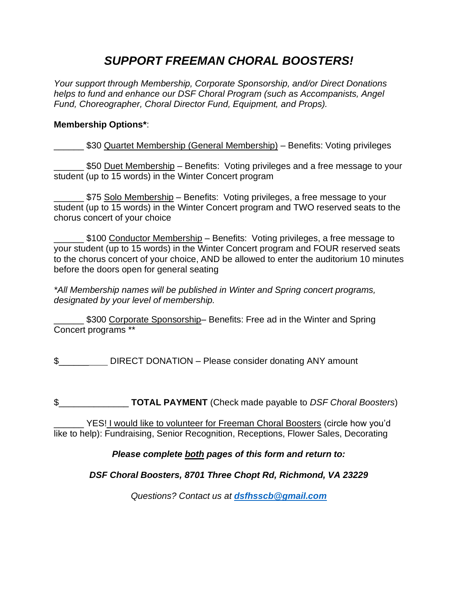# *SUPPORT FREEMAN CHORAL BOOSTERS!*

*Your support through Membership, Corporate Sponsorship, and/or Direct Donations helps to fund and enhance our DSF Choral Program (such as Accompanists, Angel Fund, Choreographer, Choral Director Fund, Equipment, and Props).*

#### **Membership Options\***:

\_\_\_\_\_\_ \$30 Quartet Membership (General Membership) – Benefits: Voting privileges

550 Duet Membership – Benefits: Voting privileges and a free message to your student (up to 15 words) in the Winter Concert program

\$75 Solo Membership – Benefits: Voting privileges, a free message to your student (up to 15 words) in the Winter Concert program and TWO reserved seats to the chorus concert of your choice

\_\_\_\_\_\_ \$100 Conductor Membership – Benefits: Voting privileges, a free message to your student (up to 15 words) in the Winter Concert program and FOUR reserved seats to the chorus concert of your choice, AND be allowed to enter the auditorium 10 minutes before the doors open for general seating

*\*All Membership names will be published in Winter and Spring concert programs, designated by your level of membership.*

\_\_\_\_\_\_ \$300 Corporate Sponsorship– Benefits: Free ad in the Winter and Spring Concert programs \*\*

\$

\$\_\_\_\_\_\_\_\_\_\_\_\_\_\_ **TOTAL PAYMENT** (Check made payable to *DSF Choral Boosters*)

\_\_\_\_\_\_ YES! I would like to volunteer for Freeman Choral Boosters (circle how you'd like to help): Fundraising, Senior Recognition, Receptions, Flower Sales, Decorating

### *Please complete both pages of this form and return to:*

### *DSF Choral Boosters, 8701 Three Chopt Rd, Richmond, VA 23229*

*Questions? Contact us at [dsfhsscb@gmail.com](mailto:dsfhsscb@gmail.com)*